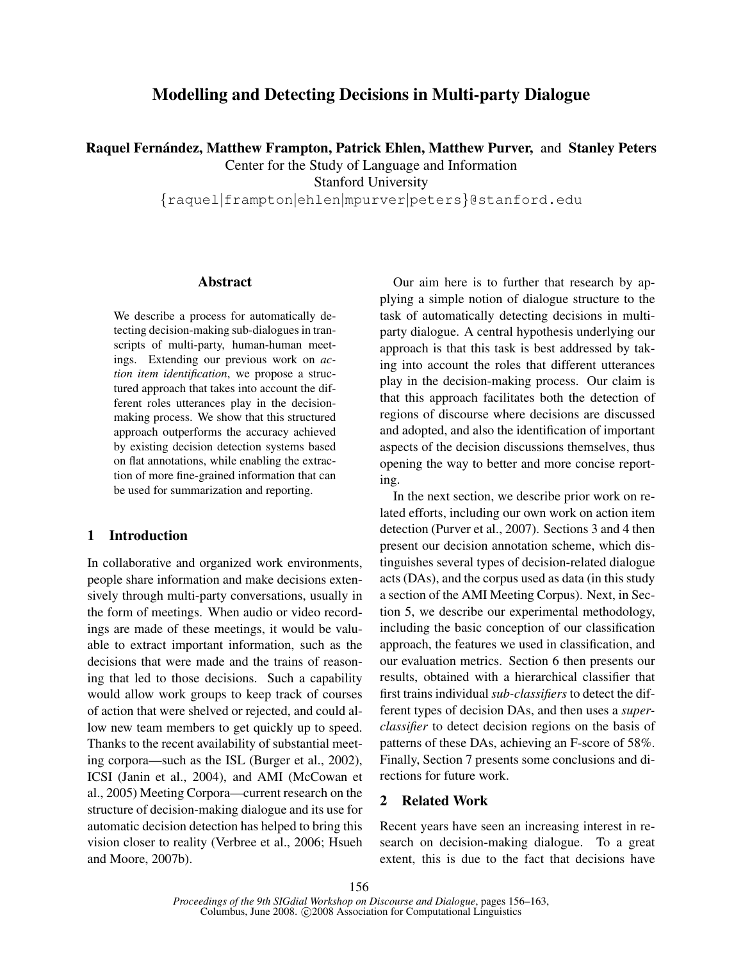# Modelling and Detecting Decisions in Multi-party Dialogue

Raquel Fernández, Matthew Frampton, Patrick Ehlen, Matthew Purver, and Stanley Peters

Center for the Study of Language and Information

Stanford University

{raquel|frampton|ehlen|mpurver|peters}@stanford.edu

### Abstract

We describe a process for automatically detecting decision-making sub-dialogues in transcripts of multi-party, human-human meetings. Extending our previous work on *action item identification*, we propose a structured approach that takes into account the different roles utterances play in the decisionmaking process. We show that this structured approach outperforms the accuracy achieved by existing decision detection systems based on flat annotations, while enabling the extraction of more fine-grained information that can be used for summarization and reporting.

# 1 Introduction

In collaborative and organized work environments, people share information and make decisions extensively through multi-party conversations, usually in the form of meetings. When audio or video recordings are made of these meetings, it would be valuable to extract important information, such as the decisions that were made and the trains of reasoning that led to those decisions. Such a capability would allow work groups to keep track of courses of action that were shelved or rejected, and could allow new team members to get quickly up to speed. Thanks to the recent availability of substantial meeting corpora—such as the ISL (Burger et al., 2002), ICSI (Janin et al., 2004), and AMI (McCowan et al., 2005) Meeting Corpora—current research on the structure of decision-making dialogue and its use for automatic decision detection has helped to bring this vision closer to reality (Verbree et al., 2006; Hsueh and Moore, 2007b).

Our aim here is to further that research by applying a simple notion of dialogue structure to the task of automatically detecting decisions in multiparty dialogue. A central hypothesis underlying our approach is that this task is best addressed by taking into account the roles that different utterances play in the decision-making process. Our claim is that this approach facilitates both the detection of regions of discourse where decisions are discussed and adopted, and also the identification of important aspects of the decision discussions themselves, thus opening the way to better and more concise reporting.

In the next section, we describe prior work on related efforts, including our own work on action item detection (Purver et al., 2007). Sections 3 and 4 then present our decision annotation scheme, which distinguishes several types of decision-related dialogue acts (DAs), and the corpus used as data (in this study a section of the AMI Meeting Corpus). Next, in Section 5, we describe our experimental methodology, including the basic conception of our classification approach, the features we used in classification, and our evaluation metrics. Section 6 then presents our results, obtained with a hierarchical classifier that first trains individual *sub-classifiers* to detect the different types of decision DAs, and then uses a *superclassifier* to detect decision regions on the basis of patterns of these DAs, achieving an F-score of 58%. Finally, Section 7 presents some conclusions and directions for future work.

# 2 Related Work

Recent years have seen an increasing interest in research on decision-making dialogue. To a great extent, this is due to the fact that decisions have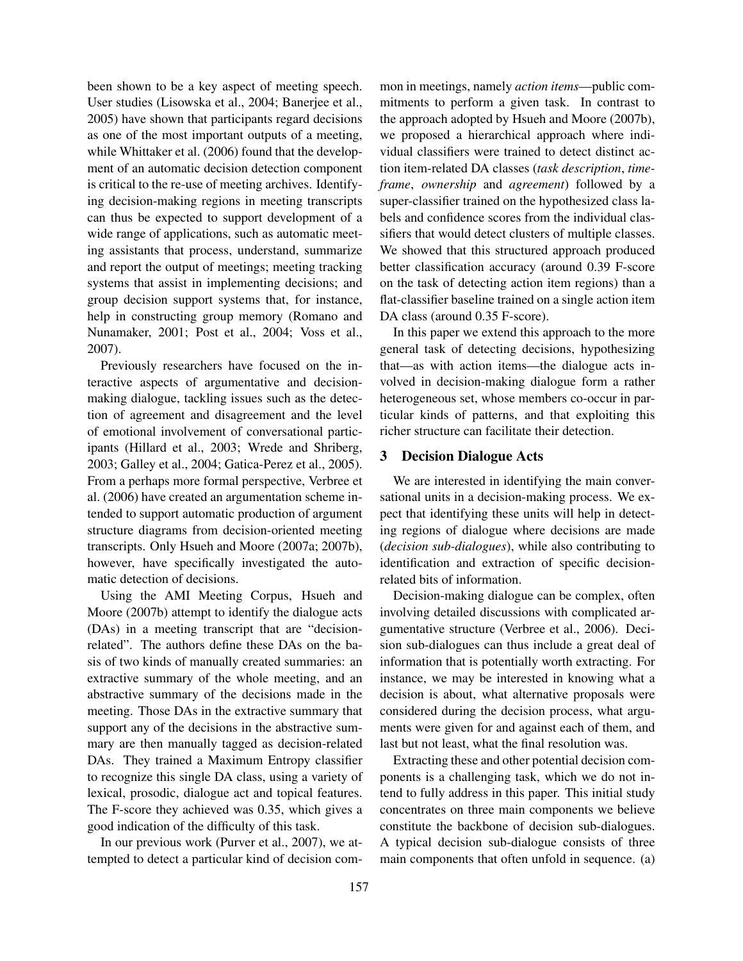been shown to be a key aspect of meeting speech. User studies (Lisowska et al., 2004; Banerjee et al., 2005) have shown that participants regard decisions as one of the most important outputs of a meeting, while Whittaker et al. (2006) found that the development of an automatic decision detection component is critical to the re-use of meeting archives. Identifying decision-making regions in meeting transcripts can thus be expected to support development of a wide range of applications, such as automatic meeting assistants that process, understand, summarize and report the output of meetings; meeting tracking systems that assist in implementing decisions; and group decision support systems that, for instance, help in constructing group memory (Romano and Nunamaker, 2001; Post et al., 2004; Voss et al., 2007).

Previously researchers have focused on the interactive aspects of argumentative and decisionmaking dialogue, tackling issues such as the detection of agreement and disagreement and the level of emotional involvement of conversational participants (Hillard et al., 2003; Wrede and Shriberg, 2003; Galley et al., 2004; Gatica-Perez et al., 2005). From a perhaps more formal perspective, Verbree et al. (2006) have created an argumentation scheme intended to support automatic production of argument structure diagrams from decision-oriented meeting transcripts. Only Hsueh and Moore (2007a; 2007b), however, have specifically investigated the automatic detection of decisions.

Using the AMI Meeting Corpus, Hsueh and Moore (2007b) attempt to identify the dialogue acts (DAs) in a meeting transcript that are "decisionrelated". The authors define these DAs on the basis of two kinds of manually created summaries: an extractive summary of the whole meeting, and an abstractive summary of the decisions made in the meeting. Those DAs in the extractive summary that support any of the decisions in the abstractive summary are then manually tagged as decision-related DAs. They trained a Maximum Entropy classifier to recognize this single DA class, using a variety of lexical, prosodic, dialogue act and topical features. The F-score they achieved was 0.35, which gives a good indication of the difficulty of this task.

In our previous work (Purver et al., 2007), we attempted to detect a particular kind of decision common in meetings, namely *action items*—public commitments to perform a given task. In contrast to the approach adopted by Hsueh and Moore (2007b), we proposed a hierarchical approach where individual classifiers were trained to detect distinct action item-related DA classes (*task description*, *timeframe*, *ownership* and *agreement*) followed by a super-classifier trained on the hypothesized class labels and confidence scores from the individual classifiers that would detect clusters of multiple classes. We showed that this structured approach produced better classification accuracy (around 0.39 F-score on the task of detecting action item regions) than a flat-classifier baseline trained on a single action item DA class (around 0.35 F-score).

In this paper we extend this approach to the more general task of detecting decisions, hypothesizing that—as with action items—the dialogue acts involved in decision-making dialogue form a rather heterogeneous set, whose members co-occur in particular kinds of patterns, and that exploiting this richer structure can facilitate their detection.

# 3 Decision Dialogue Acts

We are interested in identifying the main conversational units in a decision-making process. We expect that identifying these units will help in detecting regions of dialogue where decisions are made (*decision sub-dialogues*), while also contributing to identification and extraction of specific decisionrelated bits of information.

Decision-making dialogue can be complex, often involving detailed discussions with complicated argumentative structure (Verbree et al., 2006). Decision sub-dialogues can thus include a great deal of information that is potentially worth extracting. For instance, we may be interested in knowing what a decision is about, what alternative proposals were considered during the decision process, what arguments were given for and against each of them, and last but not least, what the final resolution was.

Extracting these and other potential decision components is a challenging task, which we do not intend to fully address in this paper. This initial study concentrates on three main components we believe constitute the backbone of decision sub-dialogues. A typical decision sub-dialogue consists of three main components that often unfold in sequence. (a)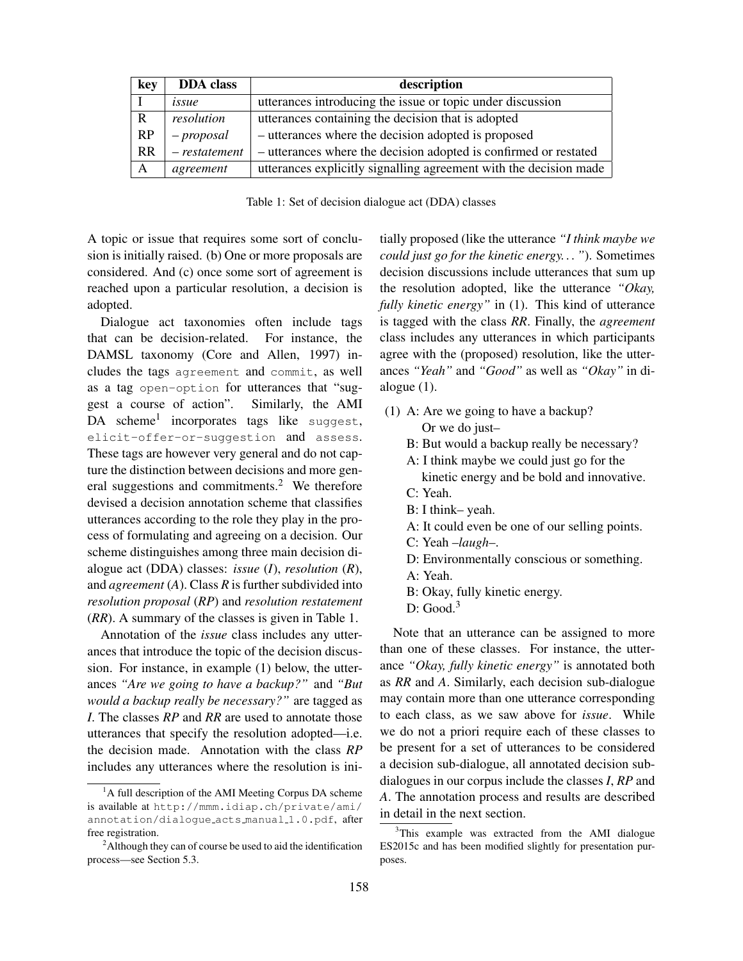| key          | <b>DDA</b> class | description                                                       |  |  |  |  |  |
|--------------|------------------|-------------------------------------------------------------------|--|--|--|--|--|
|              | issue            | utterances introducing the issue or topic under discussion        |  |  |  |  |  |
| R            | resolution       | utterances containing the decision that is adopted                |  |  |  |  |  |
| RP           | $-proposal$      | - utterances where the decision adopted is proposed               |  |  |  |  |  |
| <b>RR</b>    | $- restatement$  | - utterances where the decision adopted is confirmed or restated  |  |  |  |  |  |
| $\mathbf{A}$ | agreement        | utterances explicitly signalling agreement with the decision made |  |  |  |  |  |

Table 1: Set of decision dialogue act (DDA) classes

A topic or issue that requires some sort of conclusion is initially raised. (b) One or more proposals are considered. And (c) once some sort of agreement is reached upon a particular resolution, a decision is adopted.

Dialogue act taxonomies often include tags that can be decision-related. For instance, the DAMSL taxonomy (Core and Allen, 1997) includes the tags agreement and commit, as well as a tag open-option for utterances that "suggest a course of action". Similarly, the AMI DA scheme<sup>1</sup> incorporates tags like suggest, elicit-offer-or-suggestion and assess. These tags are however very general and do not capture the distinction between decisions and more general suggestions and commitments.<sup>2</sup> We therefore devised a decision annotation scheme that classifies utterances according to the role they play in the process of formulating and agreeing on a decision. Our scheme distinguishes among three main decision dialogue act (DDA) classes: *issue* (*I*), *resolution* (*R*), and *agreement* (*A*). Class *R* is further subdivided into *resolution proposal* (*RP*) and *resolution restatement* (*RR*). A summary of the classes is given in Table 1.

Annotation of the *issue* class includes any utterances that introduce the topic of the decision discussion. For instance, in example (1) below, the utterances *"Are we going to have a backup?"* and *"But would a backup really be necessary?"* are tagged as *I*. The classes *RP* and *RR* are used to annotate those utterances that specify the resolution adopted—i.e. the decision made. Annotation with the class *RP* includes any utterances where the resolution is initially proposed (like the utterance *"I think maybe we could just go for the kinetic energy. . . "*). Sometimes decision discussions include utterances that sum up the resolution adopted, like the utterance *"Okay, fully kinetic energy"* in (1). This kind of utterance is tagged with the class *RR*. Finally, the *agreement* class includes any utterances in which participants agree with the (proposed) resolution, like the utterances *"Yeah"* and *"Good"* as well as *"Okay"* in dialogue (1).

- (1) A: Are we going to have a backup? Or we do just–
	- B: But would a backup really be necessary?
	- A: I think maybe we could just go for the kinetic energy and be bold and innovative.
	- C: Yeah.
	- B: I think– yeah.
	- A: It could even be one of our selling points.
	- C: Yeah –*laugh*–.
	- D: Environmentally conscious or something.
	- A: Yeah.
	- B: Okay, fully kinetic energy.
	- $D: Good.<sup>3</sup>$

Note that an utterance can be assigned to more than one of these classes. For instance, the utterance *"Okay, fully kinetic energy"* is annotated both as *RR* and *A*. Similarly, each decision sub-dialogue may contain more than one utterance corresponding to each class, as we saw above for *issue*. While we do not a priori require each of these classes to be present for a set of utterances to be considered a decision sub-dialogue, all annotated decision subdialogues in our corpus include the classes *I*, *RP* and *A*. The annotation process and results are described in detail in the next section.

 ${}^{1}$ A full description of the AMI Meeting Corpus DA scheme is available at http://mmm.idiap.ch/private/ami/ annotation/dialogue acts manual 1.0.pdf, after free registration.

<sup>2</sup>Although they can of course be used to aid the identification process—see Section 5.3.

<sup>&</sup>lt;sup>3</sup>This example was extracted from the AMI dialogue ES2015c and has been modified slightly for presentation purposes.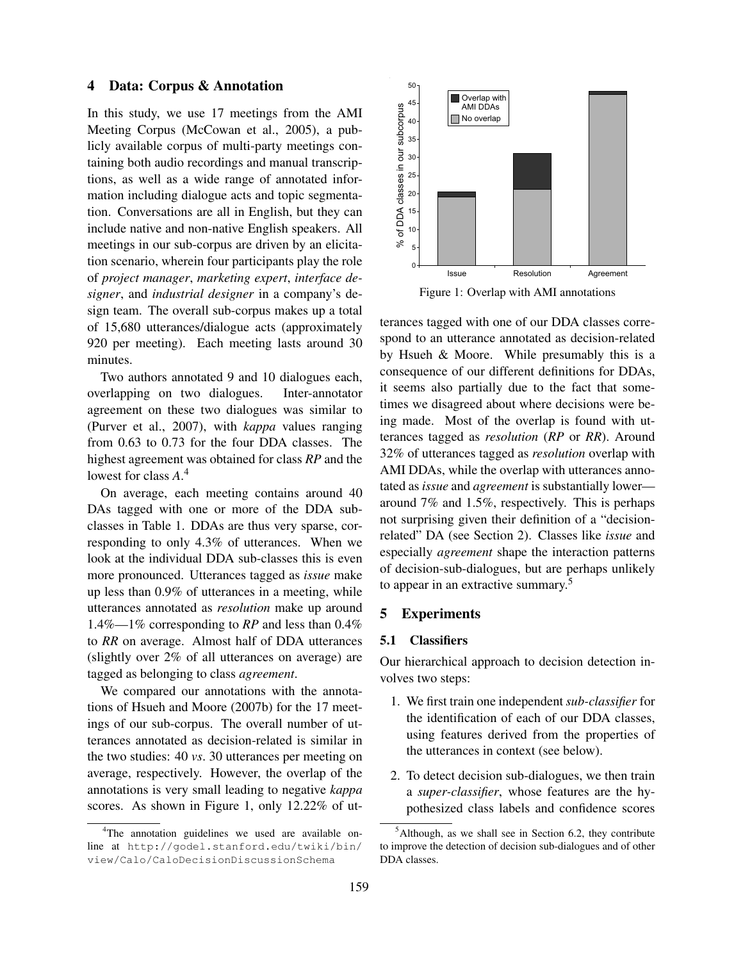### 4 Data: Corpus & Annotation

In this study, we use 17 meetings from the AMI Meeting Corpus (McCowan et al., 2005), a publicly available corpus of multi-party meetings containing both audio recordings and manual transcriptions, as well as a wide range of annotated information including dialogue acts and topic segmentation. Conversations are all in English, but they can include native and non-native English speakers. All meetings in our sub-corpus are driven by an elicitation scenario, wherein four participants play the role of *project manager*, *marketing expert*, *interface designer*, and *industrial designer* in a company's design team. The overall sub-corpus makes up a total of 15,680 utterances/dialogue acts (approximately 920 per meeting). Each meeting lasts around 30 minutes.

Two authors annotated 9 and 10 dialogues each, overlapping on two dialogues. Inter-annotator agreement on these two dialogues was similar to (Purver et al., 2007), with *kappa* values ranging from 0.63 to 0.73 for the four DDA classes. The highest agreement was obtained for class *RP* and the lowest for class *A*. 4

On average, each meeting contains around 40 DAs tagged with one or more of the DDA subclasses in Table 1. DDAs are thus very sparse, corresponding to only 4.3% of utterances. When we look at the individual DDA sub-classes this is even more pronounced. Utterances tagged as *issue* make up less than 0.9% of utterances in a meeting, while utterances annotated as *resolution* make up around 1.4%—1% corresponding to *RP* and less than 0.4% to *RR* on average. Almost half of DDA utterances (slightly over 2% of all utterances on average) are tagged as belonging to class *agreement*.

We compared our annotations with the annotations of Hsueh and Moore (2007b) for the 17 meetings of our sub-corpus. The overall number of utterances annotated as decision-related is similar in the two studies: 40 *vs*. 30 utterances per meeting on average, respectively. However, the overlap of the annotations is very small leading to negative *kappa* scores. As shown in Figure 1, only 12.22% of ut-



Figure 1: Overlap with AMI annotations

terances tagged with one of our DDA classes correspond to an utterance annotated as decision-related by Hsueh & Moore. While presumably this is a consequence of our different definitions for DDAs, it seems also partially due to the fact that sometimes we disagreed about where decisions were being made. Most of the overlap is found with utterances tagged as *resolution* (*RP* or *RR*). Around 32% of utterances tagged as *resolution* overlap with AMI DDAs, while the overlap with utterances annotated as *issue* and *agreement* is substantially lower around 7% and 1.5%, respectively. This is perhaps not surprising given their definition of a "decisionrelated" DA (see Section 2). Classes like *issue* and especially *agreement* shape the interaction patterns of decision-sub-dialogues, but are perhaps unlikely to appear in an extractive summary.<sup>5</sup>

## 5 Experiments

## 5.1 Classifiers

Our hierarchical approach to decision detection involves two steps:

- 1. We first train one independent *sub-classifier* for the identification of each of our DDA classes, using features derived from the properties of the utterances in context (see below).
- 2. To detect decision sub-dialogues, we then train a *super-classifier*, whose features are the hypothesized class labels and confidence scores

<sup>4</sup>The annotation guidelines we used are available online at http://godel.stanford.edu/twiki/bin/ view/Calo/CaloDecisionDiscussionSchema

 $5$ Although, as we shall see in Section 6.2, they contribute to improve the detection of decision sub-dialogues and of other DDA classes.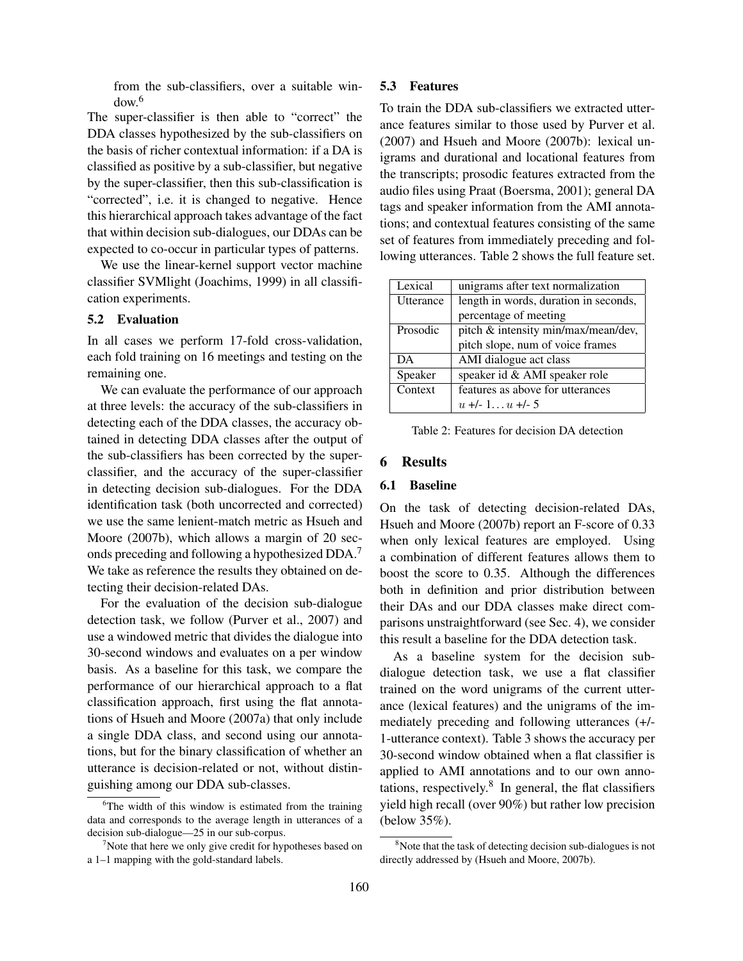from the sub-classifiers, over a suitable window.<sup>6</sup>

The super-classifier is then able to "correct" the DDA classes hypothesized by the sub-classifiers on the basis of richer contextual information: if a DA is classified as positive by a sub-classifier, but negative by the super-classifier, then this sub-classification is "corrected", i.e. it is changed to negative. Hence this hierarchical approach takes advantage of the fact that within decision sub-dialogues, our DDAs can be expected to co-occur in particular types of patterns.

We use the linear-kernel support vector machine classifier SVMlight (Joachims, 1999) in all classification experiments.

## 5.2 Evaluation

In all cases we perform 17-fold cross-validation, each fold training on 16 meetings and testing on the remaining one.

We can evaluate the performance of our approach at three levels: the accuracy of the sub-classifiers in detecting each of the DDA classes, the accuracy obtained in detecting DDA classes after the output of the sub-classifiers has been corrected by the superclassifier, and the accuracy of the super-classifier in detecting decision sub-dialogues. For the DDA identification task (both uncorrected and corrected) we use the same lenient-match metric as Hsueh and Moore (2007b), which allows a margin of 20 seconds preceding and following a hypothesized DDA.<sup>7</sup> We take as reference the results they obtained on detecting their decision-related DAs.

For the evaluation of the decision sub-dialogue detection task, we follow (Purver et al., 2007) and use a windowed metric that divides the dialogue into 30-second windows and evaluates on a per window basis. As a baseline for this task, we compare the performance of our hierarchical approach to a flat classification approach, first using the flat annotations of Hsueh and Moore (2007a) that only include a single DDA class, and second using our annotations, but for the binary classification of whether an utterance is decision-related or not, without distinguishing among our DDA sub-classes.

#### 5.3 Features

To train the DDA sub-classifiers we extracted utterance features similar to those used by Purver et al. (2007) and Hsueh and Moore (2007b): lexical unigrams and durational and locational features from the transcripts; prosodic features extracted from the audio files using Praat (Boersma, 2001); general DA tags and speaker information from the AMI annotations; and contextual features consisting of the same set of features from immediately preceding and following utterances. Table 2 shows the full feature set.

| Lexical   | unigrams after text normalization     |  |  |  |  |  |  |
|-----------|---------------------------------------|--|--|--|--|--|--|
| Utterance | length in words, duration in seconds, |  |  |  |  |  |  |
|           | percentage of meeting                 |  |  |  |  |  |  |
| Prosodic  | pitch & intensity min/max/mean/dev,   |  |  |  |  |  |  |
|           | pitch slope, num of voice frames      |  |  |  |  |  |  |
| DA        | AMI dialogue act class                |  |  |  |  |  |  |
| Speaker   | speaker id & AMI speaker role         |  |  |  |  |  |  |
| Context   | features as above for utterances      |  |  |  |  |  |  |
|           | $u + (-1, u + (-5))$                  |  |  |  |  |  |  |

Table 2: Features for decision DA detection

#### 6 Results

#### 6.1 Baseline

On the task of detecting decision-related DAs, Hsueh and Moore (2007b) report an F-score of 0.33 when only lexical features are employed. Using a combination of different features allows them to boost the score to 0.35. Although the differences both in definition and prior distribution between their DAs and our DDA classes make direct comparisons unstraightforward (see Sec. 4), we consider this result a baseline for the DDA detection task.

As a baseline system for the decision subdialogue detection task, we use a flat classifier trained on the word unigrams of the current utterance (lexical features) and the unigrams of the immediately preceding and following utterances (+/- 1-utterance context). Table 3 shows the accuracy per 30-second window obtained when a flat classifier is applied to AMI annotations and to our own annotations, respectively. $8$  In general, the flat classifiers yield high recall (over 90%) but rather low precision (below 35%).

<sup>&</sup>lt;sup>6</sup>The width of this window is estimated from the training data and corresponds to the average length in utterances of a decision sub-dialogue—25 in our sub-corpus.

 $<sup>7</sup>$ Note that here we only give credit for hypotheses based on</sup> a 1–1 mapping with the gold-standard labels.

 $8$ Note that the task of detecting decision sub-dialogues is not directly addressed by (Hsueh and Moore, 2007b).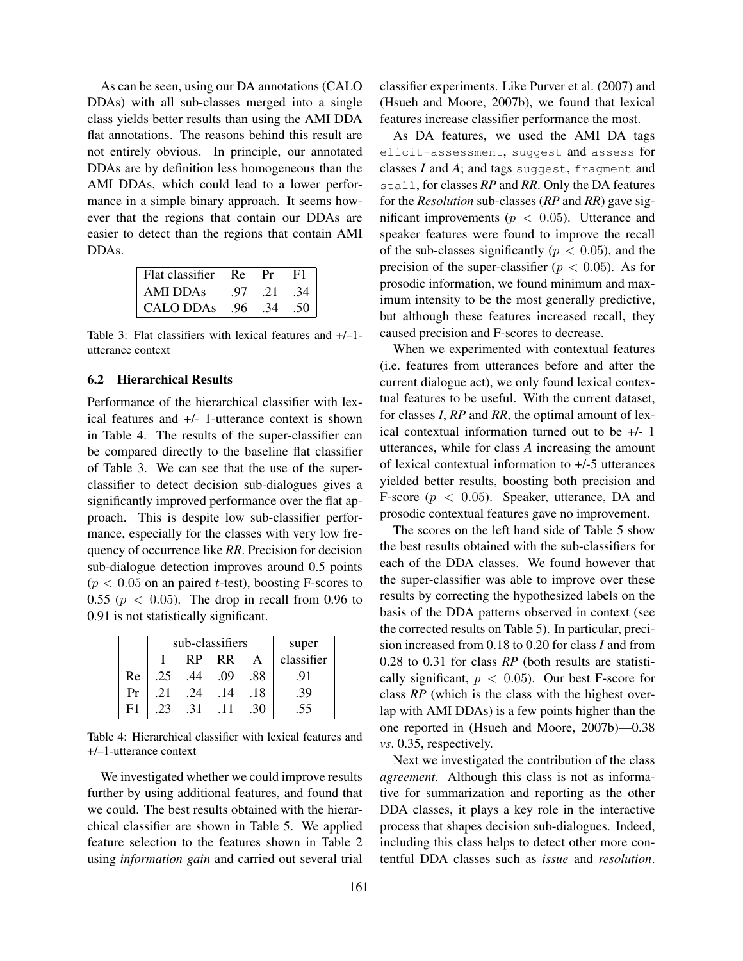As can be seen, using our DA annotations (CALO DDAs) with all sub-classes merged into a single class yields better results than using the AMI DDA flat annotations. The reasons behind this result are not entirely obvious. In principle, our annotated DDAs are by definition less homogeneous than the AMI DDAs, which could lead to a lower performance in a simple binary approach. It seems however that the regions that contain our DDAs are easier to detect than the regions that contain AMI DDAs.

| Flat classifier $\parallel$ Re |      | Pr  | F1  |
|--------------------------------|------|-----|-----|
| AMI DDAs                       | - 97 | .21 | .34 |
| <b>CALO DDAs</b>               | .96  | .34 | .50 |

Table 3: Flat classifiers with lexical features and +/–1 utterance context

# 6.2 Hierarchical Results

Performance of the hierarchical classifier with lexical features and +/- 1-utterance context is shown in Table 4. The results of the super-classifier can be compared directly to the baseline flat classifier of Table 3. We can see that the use of the superclassifier to detect decision sub-dialogues gives a significantly improved performance over the flat approach. This is despite low sub-classifier performance, especially for the classes with very low frequency of occurrence like *RR*. Precision for decision sub-dialogue detection improves around 0.5 points  $(p < 0.05$  on an paired *t*-test), boosting F-scores to 0.55 ( $p < 0.05$ ). The drop in recall from 0.96 to 0.91 is not statistically significant.

|    |     | sub-classifiers | super      |      |     |
|----|-----|-----------------|------------|------|-----|
|    |     | RP              | classifier |      |     |
| Re | .25 | .44             | .09        | .88  | .91 |
| Pr | .21 | .24             | .14        | .18  | .39 |
| F1 | .23 | -31             | -11        | . 30 | .55 |

Table 4: Hierarchical classifier with lexical features and +/–1-utterance context

We investigated whether we could improve results further by using additional features, and found that we could. The best results obtained with the hierarchical classifier are shown in Table 5. We applied feature selection to the features shown in Table 2 using *information gain* and carried out several trial classifier experiments. Like Purver et al. (2007) and (Hsueh and Moore, 2007b), we found that lexical features increase classifier performance the most.

As DA features, we used the AMI DA tags elicit-assessment, suggest and assess for classes *I* and *A*; and tags suggest, fragment and stall, for classes *RP* and *RR*. Only the DA features for the *Resolution* sub-classes (*RP* and *RR*) gave significant improvements ( $p < 0.05$ ). Utterance and speaker features were found to improve the recall of the sub-classes significantly ( $p < 0.05$ ), and the precision of the super-classifier ( $p < 0.05$ ). As for prosodic information, we found minimum and maximum intensity to be the most generally predictive, but although these features increased recall, they caused precision and F-scores to decrease.

When we experimented with contextual features (i.e. features from utterances before and after the current dialogue act), we only found lexical contextual features to be useful. With the current dataset, for classes *I*, *RP* and *RR*, the optimal amount of lexical contextual information turned out to be +/- 1 utterances, while for class *A* increasing the amount of lexical contextual information to +/-5 utterances yielded better results, boosting both precision and F-score ( $p < 0.05$ ). Speaker, utterance, DA and prosodic contextual features gave no improvement.

The scores on the left hand side of Table 5 show the best results obtained with the sub-classifiers for each of the DDA classes. We found however that the super-classifier was able to improve over these results by correcting the hypothesized labels on the basis of the DDA patterns observed in context (see the corrected results on Table 5). In particular, precision increased from 0.18 to 0.20 for class *I* and from 0.28 to 0.31 for class *RP* (both results are statistically significant,  $p < 0.05$ ). Our best F-score for class *RP* (which is the class with the highest overlap with AMI DDAs) is a few points higher than the one reported in (Hsueh and Moore, 2007b)—0.38 *vs*. 0.35, respectively.

Next we investigated the contribution of the class *agreement*. Although this class is not as informative for summarization and reporting as the other DDA classes, it plays a key role in the interactive process that shapes decision sub-dialogues. Indeed, including this class helps to detect other more contentful DDA classes such as *issue* and *resolution*.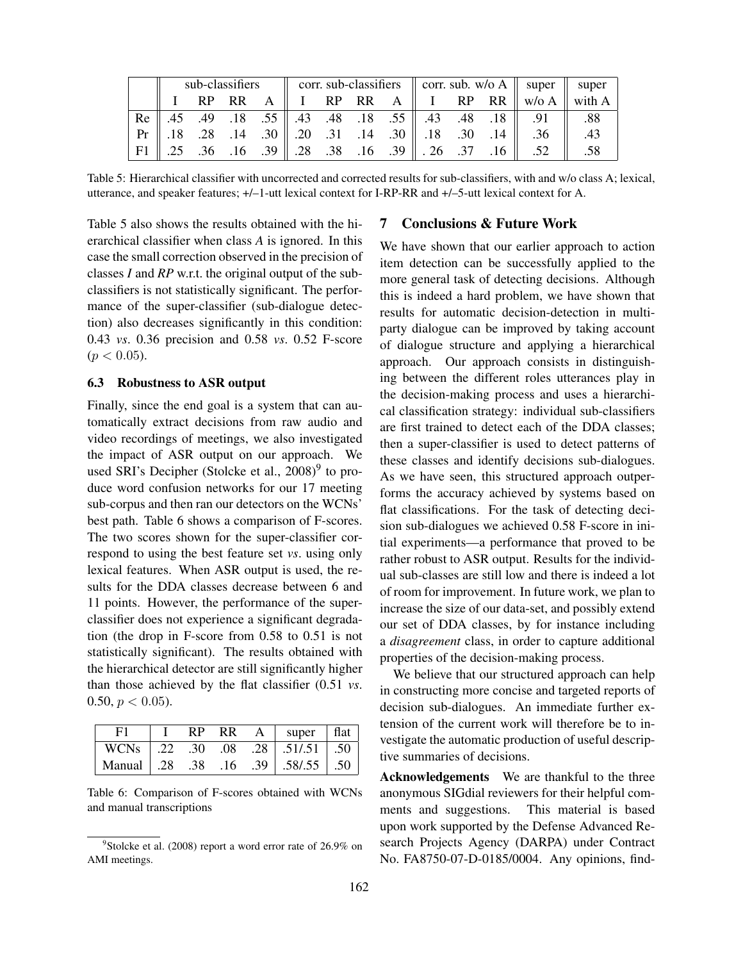|  |  |  |  | sub-classifiers corr. sub-classifiers corr. sub. w/o A super super |  |  |  |  |  |  |  |                                                                                                                     |     |
|--|--|--|--|--------------------------------------------------------------------|--|--|--|--|--|--|--|---------------------------------------------------------------------------------------------------------------------|-----|
|  |  |  |  |                                                                    |  |  |  |  |  |  |  | I RP RR A    I RP RR A    I RP RR    w/o A    with A                                                                |     |
|  |  |  |  |                                                                    |  |  |  |  |  |  |  | Re 3.45 .48 .18 .43 .48 .18 .55 .43 .48 .18 .43 .49 .45                                                             | .88 |
|  |  |  |  |                                                                    |  |  |  |  |  |  |  | $Pr \  .18 \quad .28 \quad .14 \quad .30 \  .20 \quad .31 \quad .14 \quad .30 \  .18 \quad .30 \quad .14 \  .36 \ $ | .43 |
|  |  |  |  |                                                                    |  |  |  |  |  |  |  | F1 25 .36 .16 .39 .16 .39 .16 .39 .26 .37 .16 .52 .52                                                               | .58 |

Table 5: Hierarchical classifier with uncorrected and corrected results for sub-classifiers, with and w/o class A; lexical, utterance, and speaker features; +/–1-utt lexical context for I-RP-RR and +/–5-utt lexical context for A.

Table 5 also shows the results obtained with the hierarchical classifier when class *A* is ignored. In this case the small correction observed in the precision of classes *I* and *RP* w.r.t. the original output of the subclassifiers is not statistically significant. The performance of the super-classifier (sub-dialogue detection) also decreases significantly in this condition: 0.43 *vs*. 0.36 precision and 0.58 *vs*. 0.52 F-score  $(p < 0.05)$ .

#### 6.3 Robustness to ASR output

Finally, since the end goal is a system that can automatically extract decisions from raw audio and video recordings of meetings, we also investigated the impact of ASR output on our approach. We used SRI's Decipher (Stolcke et al., 2008)<sup>9</sup> to produce word confusion networks for our 17 meeting sub-corpus and then ran our detectors on the WCNs' best path. Table 6 shows a comparison of F-scores. The two scores shown for the super-classifier correspond to using the best feature set *vs*. using only lexical features. When ASR output is used, the results for the DDA classes decrease between 6 and 11 points. However, the performance of the superclassifier does not experience a significant degradation (the drop in F-score from 0.58 to 0.51 is not statistically significant). The results obtained with the hierarchical detector are still significantly higher than those achieved by the flat classifier (0.51 *vs*. 0.50,  $p < 0.05$ ).

|                                   | RP. | <b>RR</b> | $A \mid super \mid flat$         |  |
|-----------------------------------|-----|-----------|----------------------------------|--|
|                                   |     |           | WCNs .22 .30 .08 .28 .51/.51 .50 |  |
| Manual 38 .38 .16 .39 .58/.55 .50 |     |           |                                  |  |

Table 6: Comparison of F-scores obtained with WCNs and manual transcriptions

## 7 Conclusions & Future Work

We have shown that our earlier approach to action item detection can be successfully applied to the more general task of detecting decisions. Although this is indeed a hard problem, we have shown that results for automatic decision-detection in multiparty dialogue can be improved by taking account of dialogue structure and applying a hierarchical approach. Our approach consists in distinguishing between the different roles utterances play in the decision-making process and uses a hierarchical classification strategy: individual sub-classifiers are first trained to detect each of the DDA classes; then a super-classifier is used to detect patterns of these classes and identify decisions sub-dialogues. As we have seen, this structured approach outperforms the accuracy achieved by systems based on flat classifications. For the task of detecting decision sub-dialogues we achieved 0.58 F-score in initial experiments—a performance that proved to be rather robust to ASR output. Results for the individual sub-classes are still low and there is indeed a lot of room for improvement. In future work, we plan to increase the size of our data-set, and possibly extend our set of DDA classes, by for instance including a *disagreement* class, in order to capture additional properties of the decision-making process.

We believe that our structured approach can help in constructing more concise and targeted reports of decision sub-dialogues. An immediate further extension of the current work will therefore be to investigate the automatic production of useful descriptive summaries of decisions.

Acknowledgements We are thankful to the three anonymous SIGdial reviewers for their helpful comments and suggestions. This material is based upon work supported by the Defense Advanced Research Projects Agency (DARPA) under Contract No. FA8750-07-D-0185/0004. Any opinions, find-

<sup>&</sup>lt;sup>9</sup>Stolcke et al. (2008) report a word error rate of 26.9% on AMI meetings.